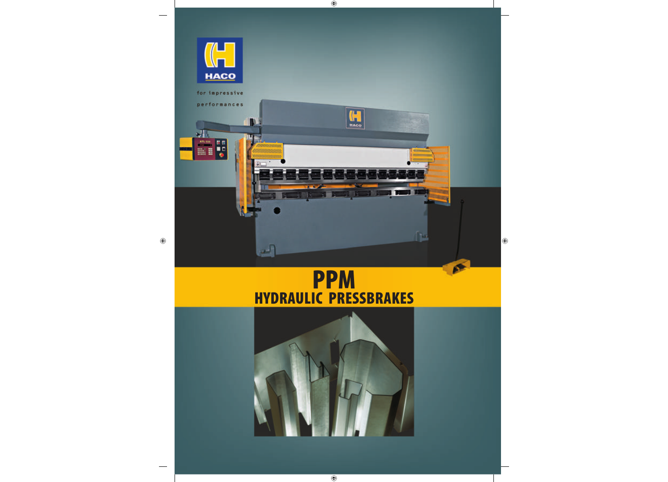

## **PPM HYDRAULIC PRESSBRAKES**

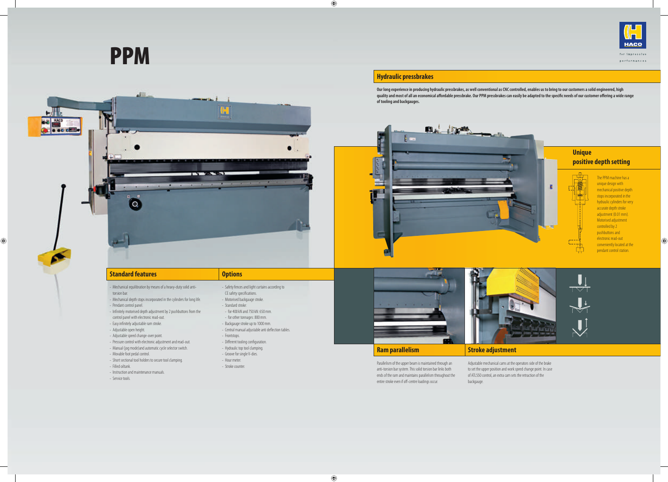# **PPM**



Parallelism of the upper beam is maintained through an anti-torsion bar system. This solid torsion bar links both ends of the ram and maintains parallelism throughout the entire stroke even if off-centre loadings occur.

#### **Ram parallelism**

#### **Stroke adjustment**

Adjustable mechanical cams at the operators side of the brake to set the upper position and work speed change point. In case of ATL550 control, an extra cam sets the retraction of the backgauge.

#### **Unique positive depth setting**



The PPM machine has a unique design with mechanical positive depth stops incorporated in the hydraulic cylinders for very accurate depth stroke adjustment (0.01 mm). Motorised adjustment controlled by 2 pushbuttons and electronic read-out conveniently located at the pendant control station.





#### **Hydraulic pressbrakes**

- Safety fences and light curtains according to CE safety specifications.
- Motorised backgauge stroke.
- Standard stroke:
- for 400 kN and 750 kN: 650 mm.
- for other tonnages: 800 mm.
- Backgauge stroke up to 1000 mm.
- Central manual adjustable anti deflection tables.
- Frontstops.
- Different tooling configuration.
- Hydraulic top tool clamping.
- Groove for single V-dies.
- Hour meter.
- Stroke counter.



**Our long experience in producing hydraulic pressbrakes, as well conventional as CNC controlled, enables us to bring to our customers a solid engineered, high**  quality and most of all an economical affordable pressbrake. Our PPM pressbrakes can easily be adapted to the specific needs of our customer offering a wide range **of tooling and backgauges.**





#### **Standard features**

- Mechanical equilibration by means of a heavy-duty solid antitorsion bar.
- Mechanical depth stops incorporated in the cylinders for long life.
- Pendant control panel.
- Infinitely motorised depth adjustment by 2 pushbuttons from the
- control panel with electronic read-out.
- Easy infinitely adjustable ram stroke.
- Adjustable open height.
- Adjustable speed change-over point.
- Pressure control with electronic adjustment and read-out.
- Manual (jog mode)and automatic cycle selector switch.
- Movable foot pedal control.
- Short sectional tool holders to secure tool clamping.
- Filled oiltank.
- Instruction and maintenance manuals.
- Service tools.

#### **Options**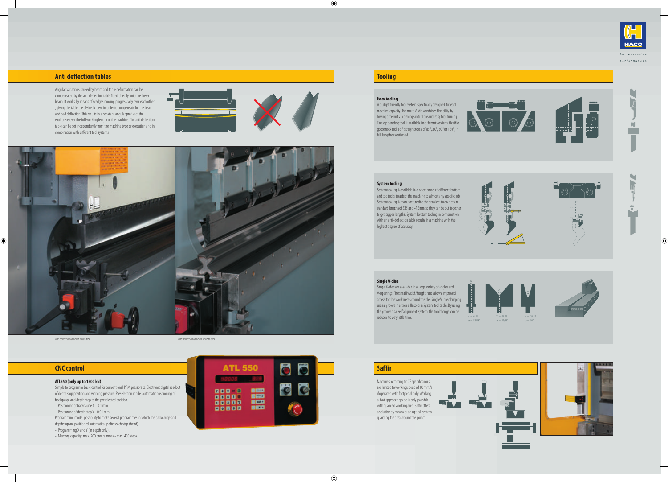









#### **Anti deflection tables**

Angular variations caused by beam and table deformation can be compensated by the anti deflection table fitted directly onto the lower beam. It works by means of wedges moving progressively over each other , giving the table the desired crown in order to compensate for the beam and bed deflection. This results in a constant angular profile of the workpiece over the full working length of the machine. The anti deflection table can be set independently from the machine type or execution and in combination with different tool systems.





#### **Tooling**

#### **Haco tooling**

A budget friendly tool system specifically designed for each machine capacity. The multi V-die combines flexibility by having different V-openings into 1 die and easy tool turning. The top bending tool is available in different versions: flexible gooseneck tool 86°, straight tools of 86°, 30°, 60° or 180°, in full length or sectioned.



#### **System tooling**

- Positioning of backgauge X 0.1 mm.
- Positioning of depth stop Y 0.01 mm.

System tooling is available in a wide range of different bottom and top tools, to adapt the machine to almost any specific job. System tooling is manufactured to the smallest tolerances in standard lengths of 835 and 415mm so they can be put together to get bigger lengths. System bottom tooling in combination with an anti-deflection table results in a machine with the highest degree of accuracy.



#### **Single V-dies**

Single V-dies are available in a large variety of angles and V-openings. The small width/height ratio allows improved access for the workpiece around the die. Single V-die clamping uses a groove in either a Haco or a System tool table. By using the groove as a self alignment system, the toolchange can be reduced to very little time.

#### **CNC control**

#### **ATL550 (only up to 1500 kN)**

Simple to programm basic control for conventional PPM pressbrake. Electronic digital readout of depth stop position and working pressure. Preselection mode: automatic positioning of backgauge and depth stop to the preselected position.

Programming mode: possibility to make several programmes in which the backgauge and

depthstop are positioned automatically after each step (bend).

- Programming X and Y (in depth only).
- Memory capacity: max. 200 programmes max. 400 steps.



#### **Saffir**

Machines according to CE specifications, are limited to working speed of 10 mm/s if operated with footpedal only. Working at fast approach speed is only possible with guarded working area. Saffir offers a solution by means of an optical system guarding the area around the punch.











 $\bullet$ F

i<br>I

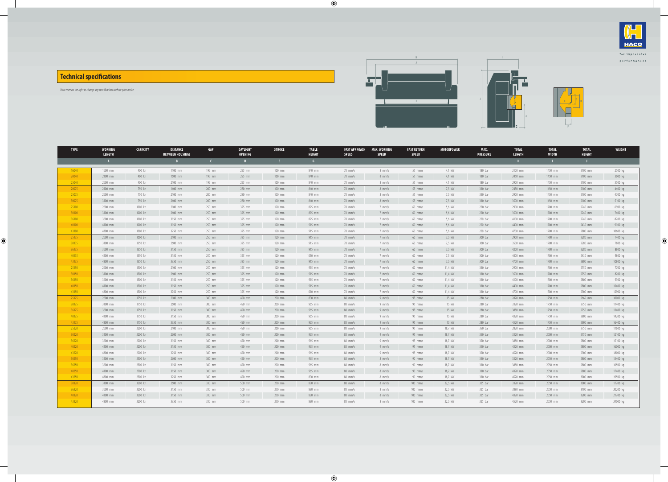### **Technical specifications**

Haco reserves the right to change any specifications without prior notice.







| <b>TYPE</b> | <b>WORKING</b><br><b>LENGTH</b> | <b>CAPACITY</b> | <b>DISTANCE</b><br><b>BETWEEN HOUSINGS</b> | GAP        | DAYLIGHT<br><b>OPENING</b> | <b>STROKE</b> | <b>TABLE</b><br><b>HEIGHT</b> | <b>FAST APPROACH</b><br><b>SPEED</b> | MAX. WORKING<br><b>SPEED</b> | <b>FAST RETURN</b><br><b>SPEED</b> | <b>MOTORPOWER</b> | MAX.<br><b>PRESSURE</b> | <b>TOTAL</b><br><b>LENGTH</b> | <b>TOTAL</b><br><b>WIDTH</b> | <b>TOTAL</b><br><b>HEIGHT</b> | <b>WEIGHT</b> |
|-------------|---------------------------------|-----------------|--------------------------------------------|------------|----------------------------|---------------|-------------------------------|--------------------------------------|------------------------------|------------------------------------|-------------------|-------------------------|-------------------------------|------------------------------|-------------------------------|---------------|
|             | $\mathbf{A}$                    |                 | B                                          | $\epsilon$ | $\mathbf{D}$               | - E -         | $-6$                          |                                      |                              |                                    |                   |                         | $\mathbf{H}$                  | <b>TEM</b>                   | -11                           |               |
| 16040       | 1600 mm                         | 400 kn          | 1100 mm                                    | 195 mm     | 295 mm                     | $100$ mm      | 840 mm                        | $70$ mm/s                            | $8$ mm/s                     | $55$ mm/s                          | 4.1 kW            | 180 bar                 | 2100 mm                       | 1450 mm                      | 2100 mm                       | 2500 kg       |
| 20040       | 2100 mm                         | 400 kn          | 1600 mm                                    | 195 mm     | 295 mm                     | $100$ mm      | 840 mm                        | $70$ mm/s                            | 8 mm/s                       | $55$ mm/s                          | 4,1 kW            | 180 bar                 | 2450 mm                       | 1450 mm                      | 2100 mm                       | 3000 kg       |
| 25040       | 2600 mm                         | 400 kn          | 2100 mm                                    | 195 mm     | 295 mm                     | $100$ mm      | 840 mm                        | $70$ mm/s                            | $8 \,$ mm/s                  | $55$ mm/s                          | 4,1 kW            | 180 bar                 | 2900 mm                       | 1450 mm                      | 2100 mm                       | 3500 kg       |
| 20075       | 2100 mm                         | 750 kn          | 1600 mm                                    | 200 mm     | 280 mm                     | $100$ mm      | 840 mm                        | $70$ mm/s                            | 8 mm/s                       | $55$ mm/s                          | 7,5 kW            | 330 bar                 | 2450 mm                       | 1450 mm                      | 2100 mm                       | 4400 kg       |
| 25075       | 2600 mm                         | 750 kn          | 2100 mm                                    | 200 mm     | 280 mm                     | $100$ mm      | 840 mm                        | $70$ mm/s                            | $8 \,$ mm/s                  | $55$ mm/s                          | 7,5 kW            | 330 bar                 | 2900 mm                       | 1450 mm                      | 2100 mm                       | 4700 kg       |
| 30075       | 3100 mm                         | 750 kn          | 2600 mm                                    | 200 mm     | 280 mm                     | $100$ mm      | 840 mm                        | $70$ mm/s                            | $8 \, \text{mm/s}$           | $55$ mm/s                          | 7,5 kW            | 330 bar                 | 3500 mm                       | 1450 mm                      | 2100 mm                       | 5100 kg       |
| 25100       | 2600 mm                         | 1000 kn         | 2100 mm                                    | 250 mm     | 325 mm                     | $120$ mm      | 875 mm                        | 70 mm/s                              | $7$ mm/s                     | $60$ mm/s                          | 5,6 kW            | 220 bar                 | 2900 mm                       | 1700 mm                      | 2240 mm                       | 6900 kg       |
| 30100       | 3100 mm                         | 1000 kn         | 2600 mm                                    | 250 mm     | 325 mm                     | $120$ mm      | 875 mm                        | $70$ mm/s                            | 7 mm/s                       | $60$ mm/s                          | 5,6 kW            | 220 bar                 | 3500 mm                       | 1700 mm                      | 2240 mm                       | 7400 kg       |
| 36100       | 3600 mm                         | 1000 kn         | 3150 mm                                    | 250 mm     | 325 mm                     | $120$ mm      | 875 mm                        | 70 mm/s                              | 7 mm/s                       | $60$ mm/s                          | 5,6 kW            | 220 bar                 | 4100 mm                       | 1700 mm                      | 2240 mm                       | 8200 kg       |
| 40100       | 4100 mm                         | 1000 kn         | 3150 mm                                    | 250 mm     | 325 mm                     | $120$ mm      | 915 mm                        | $70$ mm/s                            | $7$ mm/s                     | $60$ mm/s                          | 5,6 kW            | 220 bar                 | 4400 mm                       | 1700 mm                      | 2430 mm                       | 9100 kg       |
| 43100       | 4300 mm                         | 1000 kn         | 3750 mm                                    | 250 mm     | 325 mm                     | $120$ mm      | 915 mm                        | 70 mm/s                              | 7 mm/s                       | $60$ mm/s                          | 5,6 kW            | 220 bar                 | 4700 mm                       | 1700 mm                      | 2800 mm                       | 10600 kg      |
| 25135       | 2600 mm                         | 1000 kn         | 2100 mm                                    | 250 mm     | 325 mm                     | $120$ mm      | 915 mm                        | $70$ mm/s                            | $7$ mm/s                     | $60$ mm/s                          | 7.5 kW            | 300 bar                 | 2900 mm                       | 1700 mm                      | 2280 mm                       | 7400 kg       |
| 30135       | 3100 mm                         | 1350 kn         | 2600 mm                                    | 250 mm     | 325 mm                     | $120$ mm      | 915 mm                        | 70 mm/s                              | 7 mm/s                       | $60$ mm/s                          | 7,5 kW            | 300 bar                 | 3500 mm                       | 1700 mm                      | 2280 mm                       | 7800 kg       |
| 36135       | 3600 mm                         | 1350 kn         | 3150 mm                                    | 250 mm     | 325 mm                     | $120$ mm      | 915 mm                        | $70$ mm/s                            | $7$ mm/s                     | $60$ mm/s                          | 7.5 kW            | 300 bar                 | 4200 mm                       | 1700 mm                      | 2280 mm                       | 8800 kg       |
| 40135       | 4100 mm                         | 1350 kn         | 3150 mm                                    | 250 mm     | 325 mm                     | $120$ mm      | 1010 mm                       | $70$ mm/s                            | 7 mm/s                       | $60$ mm/s                          | 7,5 kW            | 300 bar                 | 4400 mm                       | 1700 mm                      | 2430 mm                       | 9800 kg       |
| 43135       | 4300 mm                         | 1350 kn         | 3750 mm                                    | 250 mm     | $325$ mm                   | $120$ mm      | 915 mm                        | $70$ mm/s                            | 7 mm/s                       | $60$ mm/s                          | 7,5 kW            | 300 bar                 | 4700 mm                       | 1700 mm                      | 2800 mm                       | 10800 kg      |
| 25150       | 2600 mm                         | 1500 kn         | 2100 mm                                    | 250 mm     | 325 mm                     | $120$ mm      | 915 mm                        | 70 mm/s                              | 7 mm/s                       | $60$ mm/s                          | 11,4 kW           | 330 bar                 | 2900 mm                       | 1700 mm                      | 2750 mm                       | 7700 kg       |
| 30150       | 3100 mm                         | 1500 kn         | 2600 mm                                    | 250 mm     | 325 mm                     | $120$ mm      | 915 mm                        | $70$ mm/s                            | 7 mm/s                       | $60$ mm/s                          | 11,4 kW           | 330 bar                 | 3500 mm                       | 1700 mm                      | 2750 mm                       | 8200 kg       |
| 36150       | 3600 mm                         | 1500 kn         | 3150 mm                                    | 250 mm     | 325 mm                     | $120$ mm      | 915 mm                        | $70$ mm/s                            | $7$ mm/s                     | $60$ mm/s                          | 11,4 kW           | 330 bar                 | 4100 mm                       | 1700 mm                      | 2800 mm                       | 9300 kg       |
| 40150       | 4100 mm                         | 1500 kn         | 3150 mm                                    | 250 mm     | 325 mm                     | $120$ mm      | 915 mm                        | $70$ mm/s                            | 7 mm/s                       | $60$ mm/s                          | 11,4 kW           | 330 bar                 | 4400 mm                       | 1700 mm                      | 2800 mm                       | 10400 kg      |
| 43150       | 4300 mm                         | 1500 kn         | 3750 mm                                    | 250 mm     | 325 mm                     | $120$ mm      | 1010 mm                       | 70 mm/s                              | 7 mm/s                       | $60$ mm/s                          | 11,4 kW           | 330 bar                 | 4700 mm                       | 1700 mm                      | 2900 mm                       | 12900 kg      |
| 25175       | 2600 mm                         | 1750 kn         | 2100 mm                                    | 300 mm     | 450 mm                     | $200$ mm      | 890 mm                        | $80$ mm/s                            | $9$ mm/s                     | $95$ mm/s                          | 15 kW             | 280 bar                 | 2820 mm                       | 1750 mm                      | 2665 mm                       | 10000 kg      |
| 30175       | 3100 mm                         | 1750 kn         | 2600 mm                                    | 300 mm     | 450 mm                     | 200 mm        | 965 mm                        | $80$ mm/s                            | $9 \text{ mm/s}$             | $95$ mm/s                          | 15 kW             | 280 bar                 | 3320 mm                       | 1750 mm                      | 2750 mm                       | 11400 kg      |
| 36175       | 3600 mm                         | 1750 kn         | 3150 mm                                    | 300 mm     | 450 mm                     | 200 mm        | 965 mm                        | $80$ mm/s                            | $9 \text{ mm/s}$             | $95$ mm/s                          | 15 kW             | 280 bar                 | 3880 mm                       | 1750 mm                      | 2750 mm                       | 13400 kg      |
| 40175       | 4100 mm                         | 1750 kn         | 3150 mm                                    | 300 mm     | 450 mm                     | $200$ mm      | 965 mm                        | $80$ mm/s                            | $9$ mm/s                     | $95$ mm/s                          | 15 kW             | 280 bar                 | 4320 mm                       | 1750 mm                      | 2800 mm                       | 14200 kg      |
| 43175       | 4300 mm                         | 1750 kn         | 3750 mm                                    | 300 mm     | 450 mm                     | 200 mm        | 965 mm                        | $80$ mm/s                            | $9 \text{ mm/s}$             | $95$ mm/s                          | 15 kW             | 280 bar                 | 4520 mm                       | 1750 mm                      | 2900 mm                       | 16400 kg      |
| 25220       | 2600 mm                         | 2200 kn         | 2100 mm                                    | 300 mm     | 450 mm                     | 200 mm        | 965 mm                        | $80$ mm/s                            | $9 \text{ mm/s}$             | $95$ mm/s                          | 18.7 kW           | 350 bar                 | 2820 mm                       | 2000 mm                      | 2750 mm                       | 11600 kg      |
| 30220       | 3100 mm                         | 2200 kn         | 2600 mm                                    | 300 mm     | 450 mm                     | 200 mm        | 965 mm                        | $80$ mm/s                            | $9 \text{ mm/s}$             | $95$ mm/s                          | 18,7 kW           | 350 bar                 | 3320 mm                       | 2000 mm                      | 2750 mm                       | 12100 kg      |
| 36220       | 3600 mm                         | 2200 kn         | 3150 mm                                    | 300 mm     | 450 mm                     | $200$ mm      | 965 mm                        | $80$ mm/s                            | $9$ mm/s                     | $95$ mm/s                          | 18,7 kW           | 350 bar                 | 3880 mm                       | 2000 mm                      | 2800 mm                       | 15100 kg      |
| 40220       | 4100 mm                         | 2200 kn         | 3150 mm                                    | 300 mm     | 450 mm                     | 200 mm        | 965 mm                        | $80$ mm/s                            | $9 \text{ mm/s}$             | $95$ mm/s                          | 18,7 kW           | 350 bar                 | 4320 mm                       | 2000 mm                      | 2800 mm                       | 16000 kg      |
| 43220       | 4300 mm                         | 2200 kn         | 3750 mm                                    | 300 mm     | 450 mm                     | 200 mm        | 965 mm                        | $80$ mm/s                            | $9$ mm/s                     | $95$ mm/s                          | 18,7 kW           | 350 bar                 | 4520 mm                       | 2000 mm                      | 2900 mm                       | 18000 kg      |
| 30250       | 3100 mm                         | 2500 kn         | 2600 mm                                    | 300 mm     | 450 mm                     | 200 mm        | 965 mm                        | $80$ mm/s                            | 8 mm/s                       | $90$ mm/s                          | 18,7 kW           | 330 bar                 | 3320 mm                       | 2050 mm                      | 2800 mm                       | 13400 kg      |
| 36250       | 3600 mm                         | 2500 kn         | 3150 mm                                    | 300 mm     | 450 mm                     | $200$ mm      | 965 mm                        | $80$ mm/s                            | 8 mm/s                       | $90$ mm/s                          | 18,7 kW           | 330 bar                 | 3880 mm                       | 2050 mm                      | 2800 mm                       | 16500 kg      |
| 40250       | 4100 mm                         | 2500 kn         | 3150 mm                                    | 300 mm     | 450 mm                     | 200 mm        | 965 mm                        | $80$ mm/s                            | 8 mm/s                       | $90$ mm/s                          | 18,7 kW           | 330 bar                 | 4320 mm                       | 2050 mm                      | 2800 mm                       | 17400 kg      |
| 43250       | 4300 mm                         | 2500 kn         | 3750 mm                                    | 300 mm     | 450 mm                     | 200 mm        | 890 mm                        | $80$ mm/s                            | 8 mm/s                       | 90 mm/s                            | 18,7 kW           | 330 bar                 | 4520 mm                       | 2050 mm                      | 3000 mm                       | 19500 kg      |
| 30320       | 3100 mm                         | 3200 kn         | 2600 mm                                    | 330 mm     | 500 mm                     | 250 mm        | 890 mm                        | $80$ mm/s                            | 8 mm/s                       | $100$ mm/s                         | 22,5 kW           | 325 bar                 | 3320 mm                       | 2050 mm                      | 3000 mm                       | 17700 kg      |
| 36320       | 3600 mm                         | 3200 kn         | 3150 mm                                    | 330 mm     | 500 mm                     | 250 mm        | 890 mm                        | $80$ mm/s                            | 8 mm/s                       | $100$ mm/s                         | 22,5 kW           | 325 bar                 | 3880 mm                       | 2050 mm                      | 3100 mm                       | 20200 kg      |
| 40320       | 4100 mm                         | 3200 kn         | 3150 mm                                    | 330 mm     | 500 mm                     | 250 mm        | 890 mm                        | $80$ mm/s                            | $8 \text{ mm/s}$             | $100$ mm/s                         | 22.5 kW           | 325 bar                 | 4320 mm                       | 2050 mm                      | 3200 mm                       | 21700 kg      |
| 43320       | 4300 mm                         | 3200 kn         | 3750 mm                                    | 330 mm     | 500 mm                     | 250 mm        | 890 mm                        | $80$ mm/s                            | 8 mm/s                       | $100$ mm/s                         | 22,5 kW           | 325 bar                 | 4520 mm                       | 2050 mm                      | 3200 mm                       | 24000 kg      |